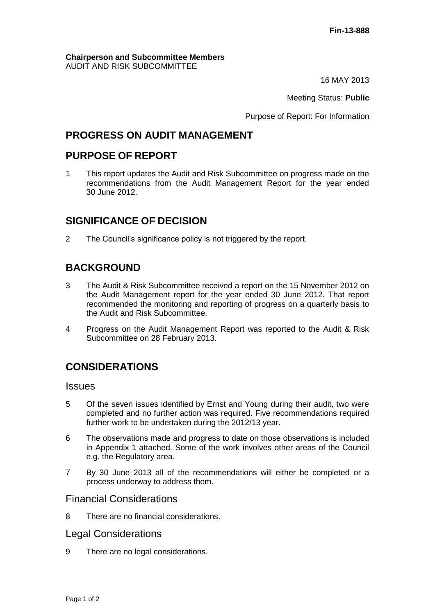#### **Chairperson and Subcommittee Members** AUDIT AND RISK SUBCOMMITTEE

16 MAY 2013

Meeting Status: **Public**

Purpose of Report: For Information

# **PROGRESS ON AUDIT MANAGEMENT**

# **PURPOSE OF REPORT**

1 This report updates the Audit and Risk Subcommittee on progress made on the recommendations from the Audit Management Report for the year ended 30 June 2012.

# **SIGNIFICANCE OF DECISION**

2 The Council's significance policy is not triggered by the report.

# **BACKGROUND**

- 3 The Audit & Risk Subcommittee received a report on the 15 November 2012 on the Audit Management report for the year ended 30 June 2012. That report recommended the monitoring and reporting of progress on a quarterly basis to the Audit and Risk Subcommittee.
- 4 Progress on the Audit Management Report was reported to the Audit & Risk Subcommittee on 28 February 2013.

# **CONSIDERATIONS**

#### Issues

- 5 Of the seven issues identified by Ernst and Young during their audit, two were completed and no further action was required. Five recommendations required further work to be undertaken during the 2012/13 year.
- 6 The observations made and progress to date on those observations is included in Appendix 1 attached. Some of the work involves other areas of the Council e.g. the Regulatory area.
- 7 By 30 June 2013 all of the recommendations will either be completed or a process underway to address them.

### Financial Considerations

8 There are no financial considerations.

### Legal Considerations

9 There are no legal considerations.